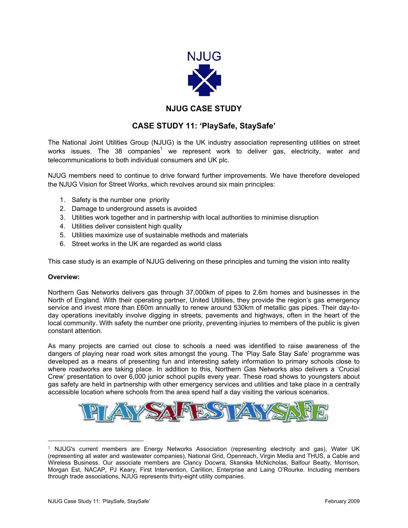

# **NJUG CASE STUDY**

# **CASE STUDY 11: 'PlaySafe, StaySafe'**

The National Joint Utilities Group (NJUG) is the UK industry association representing utilities on street works issues. The 38 companies<sup>[1](#page-0-0)</sup> we represent work to deliver gas, electricity, water and telecommunications to both individual consumers and UK plc.

NJUG members need to continue to drive forward further improvements. We have therefore developed the NJUG Vision for Street Works, which revolves around six main principles:

- 1. Safety is the number one priority
- 2. Damage to underground assets is avoided
- 3. Utilities work together and in partnership with local authorities to minimise disruption
- 4. Utilities deliver consistent high quality
- 5. Utilities maximize use of sustainable methods and materials
- 6. Street works in the UK are regarded as world class

This case study is an example of NJUG delivering on these principles and turning the vision into reality

## **Overview:**

Northern Gas Networks delivers gas through 37,000km of pipes to 2.6m homes and businesses in the North of England. With their operating partner, United Utilities, they provide the region's gas emergency service and invest more than £60m annually to renew around 530km of metallic gas pipes. Their day-today operations inevitably involve digging in streets, pavements and highways, often in the heart of the local community. With safety the number one priority, preventing injuries to members of the public is given constant attention.

As many projects are carried out close to schools a need was identified to raise awareness of the dangers of playing near road work sites amongst the young. The 'Play Safe Stay Safe' programme was developed as a means of presenting fun and interesting safety information to primary schools close to where roadworks are taking place. In addition to this, Northern Gas Networks also delivers a 'Crucial Crew' presentation to over 6,000 junior school pupils every year. These road shows to youngsters about gas safety are held in partnership with other emergency services and utilities and take place in a centrally accessible location where schools from the area spend half a day visiting the various scenarios.



<span id="page-0-0"></span> <sup>1</sup> NJUG's current members are Energy Networks Association (representing electricity and gas), Water UK (representing all water and wastewater companies), National Grid, Openreach, Virgin Media and THUS, a Cable and Wireless Business. Our associate members are Clancy Docwra, Skanska McNicholas, Balfour Beatty, Morrison, Morgan Est, NACAP, PJ Keary, First Intervention, Carillion, Enterprise and Laing O'Rourke. Including members through trade associations, NJUG represents thirty-eight utility companies.